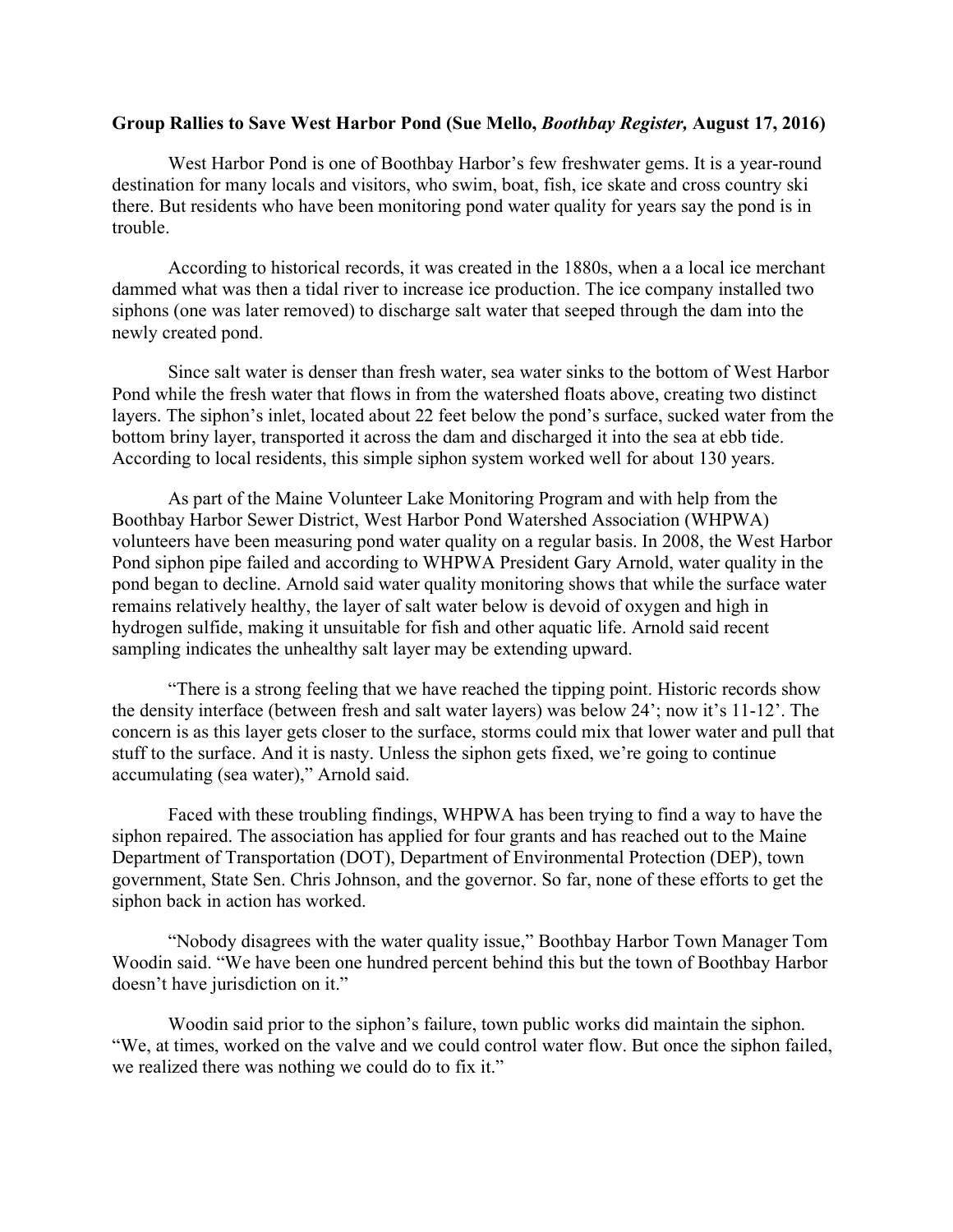## **Group Rallies to Save West Harbor Pond (Sue Mello,** *Boothbay Register,* **August 17, 2016)**

West Harbor Pond is one of Boothbay Harbor's few freshwater gems. It is a year-round destination for many locals and visitors, who swim, boat, fish, ice skate and cross country ski there. But residents who have been monitoring pond water quality for years say the pond is in trouble.

According to historical records, it was created in the 1880s, when a a local ice merchant dammed what was then a tidal river to increase ice production. The ice company installed two siphons (one was later removed) to discharge salt water that seeped through the dam into the newly created pond.

Since salt water is denser than fresh water, sea water sinks to the bottom of West Harbor Pond while the fresh water that flows in from the watershed floats above, creating two distinct layers. The siphon's inlet, located about 22 feet below the pond's surface, sucked water from the bottom briny layer, transported it across the dam and discharged it into the sea at ebb tide. According to local residents, this simple siphon system worked well for about 130 years.

As part of the Maine Volunteer Lake Monitoring Program and with help from the Boothbay Harbor Sewer District, West Harbor Pond Watershed Association (WHPWA) volunteers have been measuring pond water quality on a regular basis. In 2008, the West Harbor Pond siphon pipe failed and according to WHPWA President Gary Arnold, water quality in the pond began to decline. Arnold said water quality monitoring shows that while the surface water remains relatively healthy, the layer of salt water below is devoid of oxygen and high in hydrogen sulfide, making it unsuitable for fish and other aquatic life. Arnold said recent sampling indicates the unhealthy salt layer may be extending upward.

"There is a strong feeling that we have reached the tipping point. Historic records show the density interface (between fresh and salt water layers) was below 24'; now it's 11-12'. The concern is as this layer gets closer to the surface, storms could mix that lower water and pull that stuff to the surface. And it is nasty. Unless the siphon gets fixed, we're going to continue accumulating (sea water)," Arnold said.

Faced with these troubling findings, WHPWA has been trying to find a way to have the siphon repaired. The association has applied for four grants and has reached out to the Maine Department of Transportation (DOT), Department of Environmental Protection (DEP), town government, State Sen. Chris Johnson, and the governor. So far, none of these efforts to get the siphon back in action has worked.

"Nobody disagrees with the water quality issue," Boothbay Harbor Town Manager Tom Woodin said. "We have been one hundred percent behind this but the town of Boothbay Harbor doesn't have jurisdiction on it."

Woodin said prior to the siphon's failure, town public works did maintain the siphon. "We, at times, worked on the valve and we could control water flow. But once the siphon failed, we realized there was nothing we could do to fix it."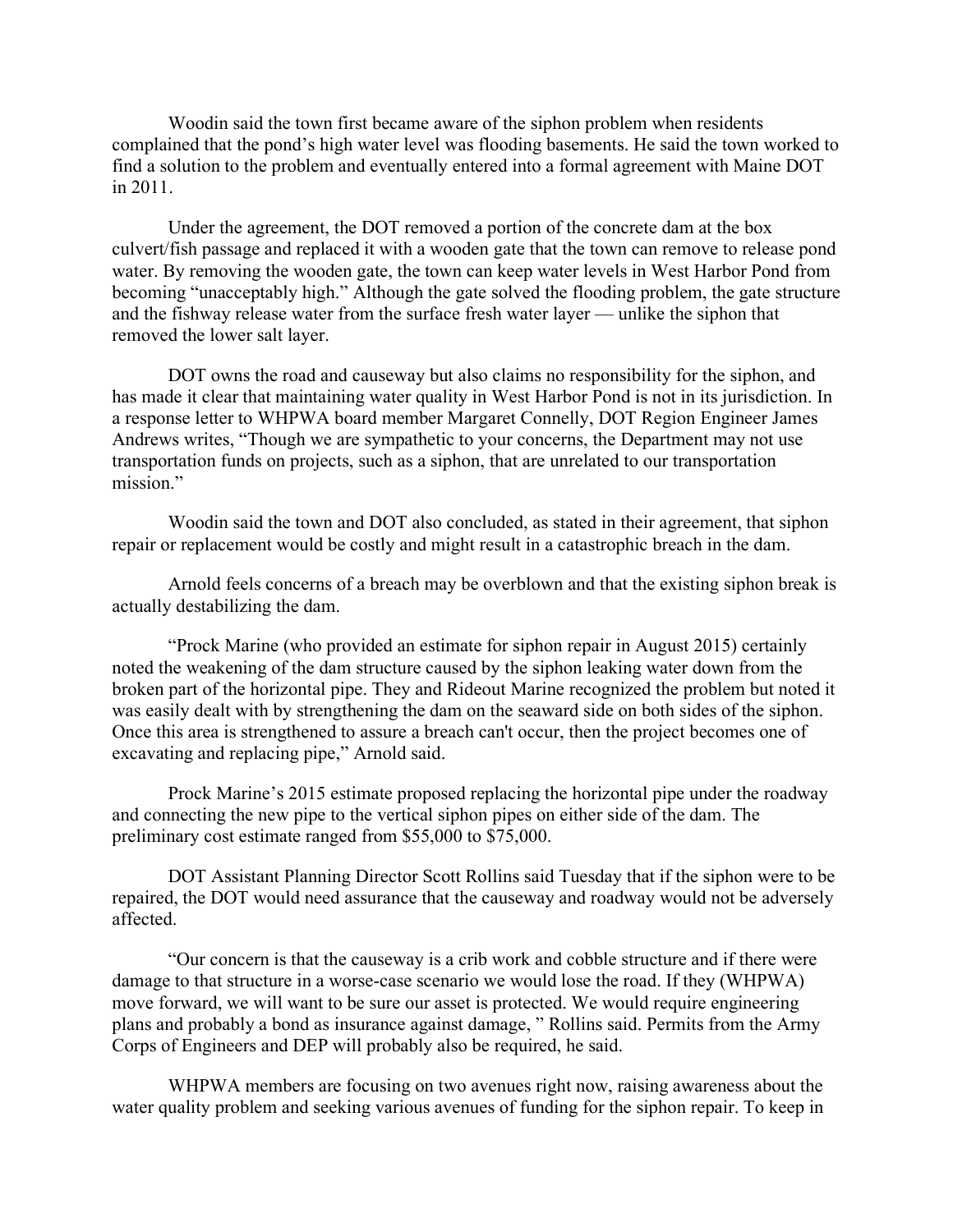Woodin said the town first became aware of the siphon problem when residents complained that the pond's high water level was flooding basements. He said the town worked to find a solution to the problem and eventually entered into a formal agreement with Maine DOT in 2011.

Under the agreement, the DOT removed a portion of the concrete dam at the box culvert/fish passage and replaced it with a wooden gate that the town can remove to release pond water. By removing the wooden gate, the town can keep water levels in West Harbor Pond from becoming "unacceptably high." Although the gate solved the flooding problem, the gate structure and the fishway release water from the surface fresh water layer — unlike the siphon that removed the lower salt layer.

DOT owns the road and causeway but also claims no responsibility for the siphon, and has made it clear that maintaining water quality in West Harbor Pond is not in its jurisdiction. In a response letter to WHPWA board member Margaret Connelly, DOT Region Engineer James Andrews writes, "Though we are sympathetic to your concerns, the Department may not use transportation funds on projects, such as a siphon, that are unrelated to our transportation mission."

Woodin said the town and DOT also concluded, as stated in their agreement, that siphon repair or replacement would be costly and might result in a catastrophic breach in the dam.

Arnold feels concerns of a breach may be overblown and that the existing siphon break is actually destabilizing the dam.

"Prock Marine (who provided an estimate for siphon repair in August 2015) certainly noted the weakening of the dam structure caused by the siphon leaking water down from the broken part of the horizontal pipe. They and Rideout Marine recognized the problem but noted it was easily dealt with by strengthening the dam on the seaward side on both sides of the siphon. Once this area is strengthened to assure a breach can't occur, then the project becomes one of excavating and replacing pipe," Arnold said.

Prock Marine's 2015 estimate proposed replacing the horizontal pipe under the roadway and connecting the new pipe to the vertical siphon pipes on either side of the dam. The preliminary cost estimate ranged from \$55,000 to \$75,000.

DOT Assistant Planning Director Scott Rollins said Tuesday that if the siphon were to be repaired, the DOT would need assurance that the causeway and roadway would not be adversely affected.

"Our concern is that the causeway is a crib work and cobble structure and if there were damage to that structure in a worse-case scenario we would lose the road. If they (WHPWA) move forward, we will want to be sure our asset is protected. We would require engineering plans and probably a bond as insurance against damage, " Rollins said. Permits from the Army Corps of Engineers and DEP will probably also be required, he said.

WHPWA members are focusing on two avenues right now, raising awareness about the water quality problem and seeking various avenues of funding for the siphon repair. To keep in